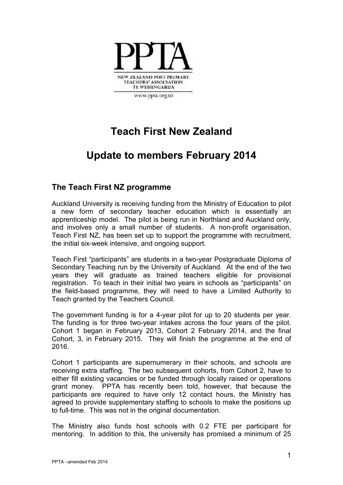

# **Teach First New Zealand**

# **Update to members February 2014**

## **The Teach First NZ programme**

Auckland University is receiving funding from the Ministry of Education to pilot a new form of secondary teacher education which is essentially an apprenticeship model. The pilot is being run in Northland and Auckland only, and involves only a small number of students. A non-profit organisation, Teach First NZ, has been set up to support the programme with recruitment, the initial six-week intensive, and ongoing support.

Teach First "participants" are students in a two-year Postgraduate Diploma of Secondary Teaching run by the University of Auckland. At the end of the two years they will graduate as trained teachers eligible for provisional registration. To teach in their initial two years in schools as "participants" on the field-based programme, they will need to have a Limited Authority to Teach granted by the Teachers Council.

The government funding is for a 4-year pilot for up to 20 students per year. The funding is for three two-year intakes across the four years of the pilot. Cohort 1 began in February 2013, Cohort 2 February 2014, and the final Cohort, 3, in February 2015. They will finish the programme at the end of 2016.

Cohort 1 participants are supernumerary in their schools, and schools are receiving extra staffing. The two subsequent cohorts, from Cohort 2, have to either fill existing vacancies or be funded through locally raised or operations grant money. PPTA has recently been told, however, that because the participants are required to have only 12 contact hours, the Ministry has agreed to provide supplementary staffing to schools to make the positions up to full-time. This was not in the original documentation.

The Ministry also funds host schools with 0.2 FTE per participant for mentoring. In addition to this, the university has promised a minimum of 25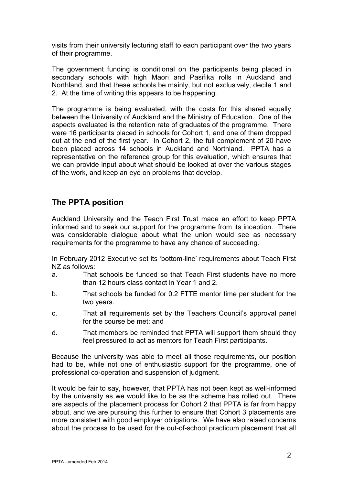visits from their university lecturing staff to each participant over the two years of their programme.

The government funding is conditional on the participants being placed in secondary schools with high Maori and Pasifika rolls in Auckland and Northland, and that these schools be mainly, but not exclusively, decile 1 and 2. At the time of writing this appears to be happening.

The programme is being evaluated, with the costs for this shared equally between the University of Auckland and the Ministry of Education. One of the aspects evaluated is the retention rate of graduates of the programme. There were 16 participants placed in schools for Cohort 1, and one of them dropped out at the end of the first year. In Cohort 2, the full complement of 20 have been placed across 14 schools in Auckland and Northland. PPTA has a representative on the reference group for this evaluation, which ensures that we can provide input about what should be looked at over the various stages of the work, and keep an eye on problems that develop.

## **The PPTA position**

Auckland University and the Teach First Trust made an effort to keep PPTA informed and to seek our support for the programme from its inception. There was considerable dialogue about what the union would see as necessary requirements for the programme to have any chance of succeeding.

In February 2012 Executive set its 'bottom-line' requirements about Teach First NZ as follows:

- a. That schools be funded so that Teach First students have no more than 12 hours class contact in Year 1 and 2.
- b. That schools be funded for 0.2 FTTE mentor time per student for the two years.
- c. That all requirements set by the Teachers Council's approval panel for the course be met; and
- d. That members be reminded that PPTA will support them should they feel pressured to act as mentors for Teach First participants.

Because the university was able to meet all those requirements, our position had to be, while not one of enthusiastic support for the programme, one of professional co-operation and suspension of judgment.

It would be fair to say, however, that PPTA has not been kept as well-informed by the university as we would like to be as the scheme has rolled out. There are aspects of the placement process for Cohort 2 that PPTA is far from happy about, and we are pursuing this further to ensure that Cohort 3 placements are more consistent with good employer obligations. We have also raised concerns about the process to be used for the out-of-school practicum placement that all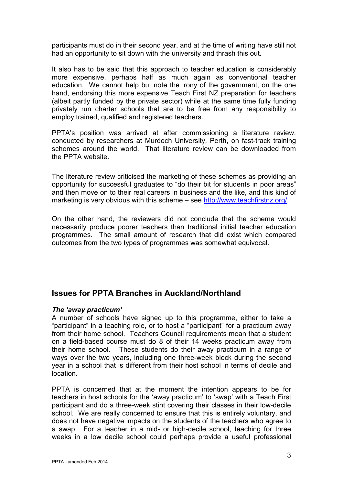participants must do in their second year, and at the time of writing have still not had an opportunity to sit down with the university and thrash this out.

It also has to be said that this approach to teacher education is considerably more expensive, perhaps half as much again as conventional teacher education. We cannot help but note the irony of the government, on the one hand, endorsing this more expensive Teach First NZ preparation for teachers (albeit partly funded by the private sector) while at the same time fully funding privately run charter schools that are to be free from any responsibility to employ trained, qualified and registered teachers.

PPTA's position was arrived at after commissioning a literature review, conducted by researchers at Murdoch University, Perth, on fast-track training schemes around the world. That literature review can be downloaded from the PPTA website.

The literature review criticised the marketing of these schemes as providing an opportunity for successful graduates to "do their bit for students in poor areas" and then move on to their real careers in business and the like, and this kind of marketing is very obvious with this scheme – see http://www.teachfirstnz.org/.

On the other hand, the reviewers did not con[clude that the scheme wou](http://www.teachfirstnz.org/)ld necessarily produce poorer teachers than traditional initial teacher education programmes. The small amount of research that did exist which compared outcomes from the two types of programmes was somewhat equivocal.

## **Issues for PPTA Branches in Auckland/Northland**

#### *The 'away practicum'*

A number of schools have signed up to this programme, either to take a "participant" in a teaching role, or to host a "participant" for a practicum away from their home school. Teachers Council requirements mean that a student on a field-based course must do 8 of their 14 weeks practicum away from their home school. These students do their away practicum in a range of ways over the two years, including one three-week block during the second year in a school that is different from their host school in terms of decile and location.

PPTA is concerned that at the moment the intention appears to be for teachers in host schools for the 'away practicum' to 'swap' with a Teach First participant and do a three-week stint covering their classes in their low-decile school. We are really concerned to ensure that this is entirely voluntary, and does not have negative impacts on the students of the teachers who agree to a swap. For a teacher in a mid- or high-decile school, teaching for three weeks in a low decile school could perhaps provide a useful professional